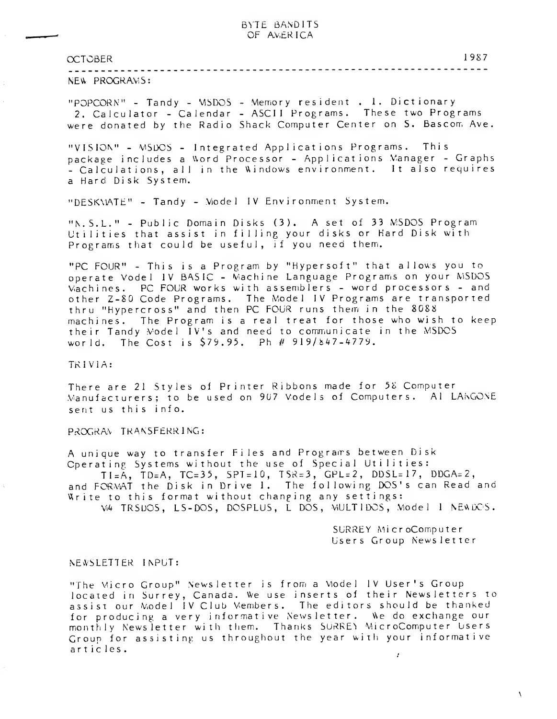#### BYTE BANDITS OF AMERICA

OCTOBER 1987

NEW PROGRAMS:

"POPCORN" - Tandy - VISDOS - Memory resident . 1. Dictionary 2. Calculator - Calendar - ASCII Programs. These two Programs were donated by the Radio Shack Computer Center on S. Bascom Ave.

"VISION" - MSDCS - Integrated Applications Programs. This package includes <sup>a</sup> Word Processor - Applications Vanager - Graphs - Calculations, all in the Windows environment. It also requires a Hard Disk System.

"DESKMATE" - Tandy - Viodel IV Environment System.

"N.S.L." - Public Domain Disks (3). A set of 33 MSDOS Program Utilities that assist in filling your disks or Hard Disk with Programs that could be useful, if you need them.

"PC FOUR" - This is <sup>a</sup> Program by "Hypersoft" that allows you to operate Vodel IV BASIC - Machine Language Programs on your MSDOS Machines. PC FOUR works with assemblers - word processors - and other Z-SO Code Programs. The Model IV Programs are transported thru "Hypercross" and then PC FOUR runs them in the 8088 machines. The Program is <sup>a</sup> real treat for those who wish to keep their Tandy Model IV <sup>s</sup> and need to communicate in the MSDCS world. The Cost is \$79.95. Ph # 919/847-4779.

TRIVIA:

There are <sup>21</sup> Styles of Printer Ribbons made for 58 Computer Manufacturers; to be used on 907 Vodels of Computers. Al LANGONE sent us this info.

PRQGRAV TRANSFERR <sup>I</sup> NG

A unique way to transfer Files and Programs between Disk Operating Systems without the use of Special Utilities:

TI=A, TD=A, TC=35, SPT=10, TSR=3, GPL=2, DDSL=17, DDGA=2, and FORMAT the Disk in Drive 1. The following DOS's can Read and Write to this format without changing any settings:

W4 TRSDOS, LS-DOS, DOSPLUS, L DOS, MULTIDOS, Model 1 NEW DOS.

SURREY Microcomputer Users Group Newsletter

#### NEWSLETTER INPUT:

"The Micro Group" Newsletter is from <sup>a</sup> Viodel IV User's Group located in Surrey, Canada. We use inserts of their Newsletters to assist our Model IV Club Members. The editors should be thanked for producing <sup>a</sup> very informative Newsletter. We do exchange our monthly Newsletter with them. Thanks SURREY MicroComputer Users Croup for assisting us throughout the year with your informative articles. $\mathbf{r}$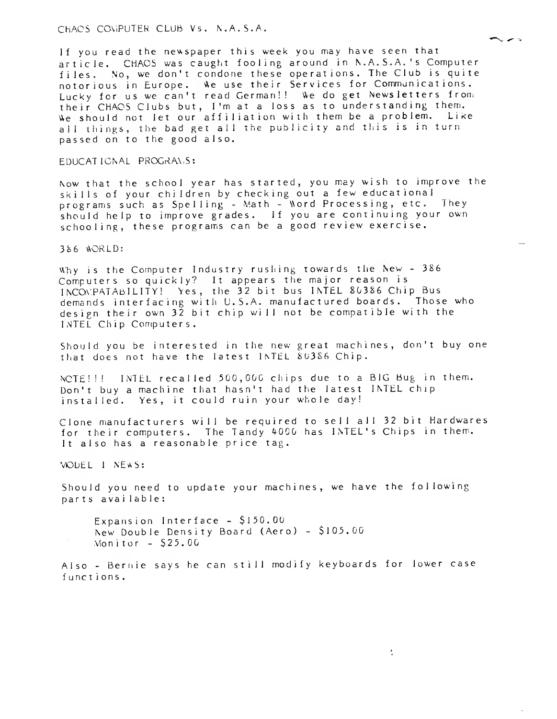#### CHAOS COMPUTER CLUB Vs. N.A.S.A.

If you read the newspaper this week you may have seen that article. CHAOS was caught fooling around in N.A.S.A. 's Computer files. No, we don't condone these operations. The Club is quite notorious in Europe. we use their Services for Communications. Lucky for us we can't read German!! we do get Newsletters from their CHAOS Clubs but, I'm at a loss as to understanding them.<br>We should not let our affiliation with them be a problem. Like We should not let our affiliation with them be a problem. all things, the bad get all the publicity and this is in turn passed on to the good also.

#### EDUCATIONAL PROGRAMS:

Now that the school year has started, you may wish to improve the skills of your children by checking out <sup>a</sup> few educational programs such as Spelling - Math - word Processing, etc. They should help to improve grades. If you are continuing your own schooling, these programs can be <sup>a</sup> good review exercise.

386 WORLD:

Why is the Computer Industry rushing towards the New - 386 Computers so quickly? It appears the major reason is <sup>I</sup> NCOA'PATAblLITY! Yes, the 32 bit bus INTEL 80386 Chip Bus demands interfacing with U.S.A. manufactured boards. Those who design their own 32 bit chip wi <sup>1</sup> <sup>1</sup> not be compatible with the INTEL Chip Computers.

Should you be interested in the new great machines, don't buy one that does not have the latest INTEL 80386 Chip.

NOTE!!! INTEL recalled 500,000 chips due to <sup>a</sup> BIG Bug in them. Don't buy <sup>a</sup> machine that hasn't had the latest INTEL chip installed. Yes, it could ruin your whole day!

Clone manufacturers will be required to sell all 32 bit Hardwares for their computers. The Tandy 4000 has INTEL'S Chips in them. It also has <sup>a</sup> reasonable price tag.

WODEL 1 NEwS:

Should you need to update your machines, we have the following parts available:

Expansion Interface - \$150.00 New Double Density Board (Aero) - \$105.00 Wonitor  $-$  \$25.00

Also - Bernie says he can still modify keyboards for lower case functions.

 $\sim$   $\sim$   $\sim$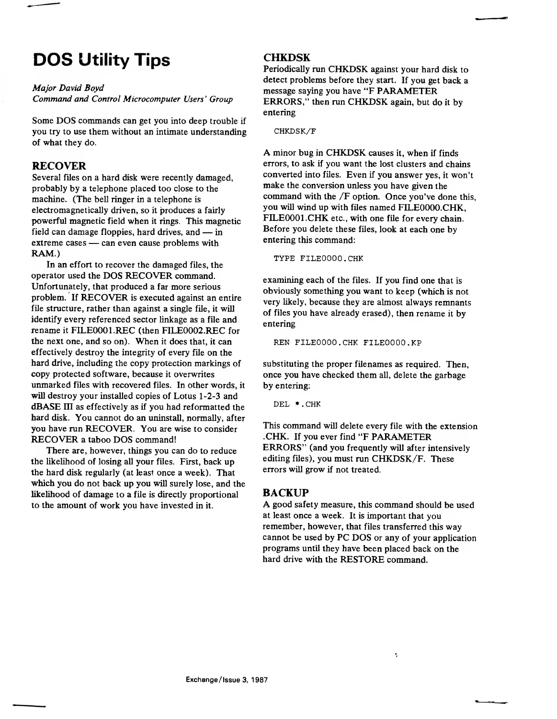# DOS Utility Tips

Major David Boyd Command and Control Microcomputer Users' Group

Some DOS commands can get you into deep trouble if you try to use them without an intimate understanding of what they do.

#### RECOVER

Several files on a hard disk were recently damaged, probably by a telephone placed too close to the machine. (The bell ringer in a telephone is electromagnetically driven, so it produces a fairly powerful magnetic field when it rings. This magnetic field can damage floppies, hard drives, and — in extreme cases — can even cause problems with RAM.)

In an effort to recover the damaged files, the operator used the DOS RECOVER command. Unfortunately, that produced a far more serious problem. If RECOVER is executed against an entire file structure, rather than against a single file, it will identify every referenced sector linkage as a file and rename it FILE0001.REC (then FILE0002.REC for the next one, and so on). When it does that, it can effectively destroy the integrity of every file on the hard drive, including the copy protection markings of copy protected software, because it overwrites unmarked files with recovered files. In other words, it will destroy your installed copies of Lotus 1-2-3 and dBASE HI as effectively as if you had reformatted the hard disk. You cannot do an uninstall, normally, after you have run RECOVER. You are wise to consider RECOVER <sup>a</sup> taboo DOS command!

There are, however, things you can do to reduce the likelihood of losing all your files. First, back up the hard disk regularly (at least once a week). That which you do not back up you will surely lose, and the likelihood of damage to a file is directly proportional to the amount of work you have invested in it.

#### **CHKDSK**

Periodically run CHKDSK against your hard disk to detect problems before they start. If you get back a message saying you have "F PARAMETER ERRORS," then run CHKDSK again, but do it by entering

CHKDSK/F

A minor bug in CHKDSK causes it, when if finds errors, to ask if you want the lost clusters and chains converted into files. Even if you answer yes, it won't make the conversion unless you have given the command with the /F option. Once you've done this, you will wind up with files named FILE0000.CHK, FILEOOO1.CHK etc., with one file for every chain. Before you delete these files, look at each one by entering this command:

TYPE FILE0000.CHK

examining each of the files. If you find one that is obviously something you want to keep (which is not very likely, because they are almost always remnants of files you have already erased), then rename it by entering

REN FILEOOOO.CHK FILEOOOO.KP

substituting the proper filenames as required. Then, once you have checked them all, delete the garbage by entering:

DEL \*.CHK

This command will delete every file with the extension .CHK. If you ever find "F PARAMETER ERRORS" (and you frequently will after intensively editing files), you must run CHKDSK/F. These errors will grow if not treated.

#### BACKUP

A good safety measure, this command should be used at least once a week. It is important that you remember, however, that files transferred this way cannot be used by PC DOS or any of your application programs until they have been placed back on the hard drive with the RESTORE command.

Ķ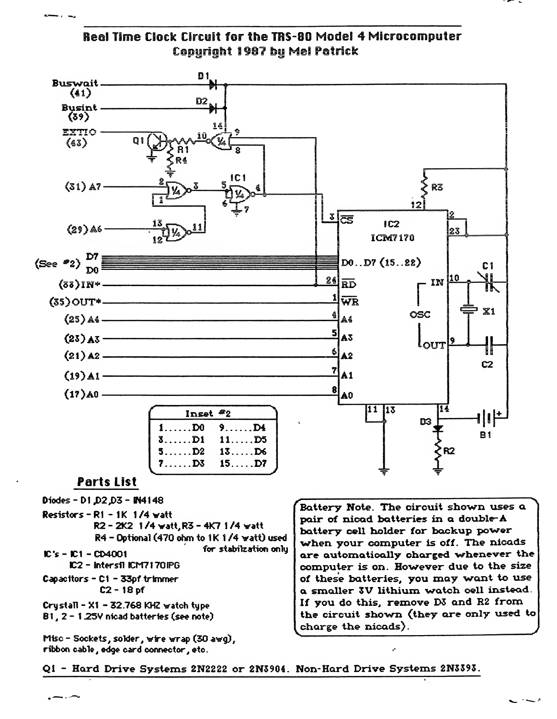### Real Time Clock Circuit for the TRS-80 Model 4 Microcomputer Copuright 1987 by Mel Patrick



Diodes - Dl .D2.D3 - W4148

Resistors -R1 -IK 1/4 watt R2 - 2K2 1/4 watt,R3 - 4K7 <sup>1</sup> /4 watt R4 - Optional (470 ohm to <sup>1</sup> K <sup>1</sup> /4 watt) used IC's - IC1 - CD4001  $\overline{C}$  for stabilization only C2 - Intersil SCM7170IPG Capacitors - CI - 33pf trimmer C2- 18 pf Crystall -  $X1 - Z2.768$  KHZ watch type B1, 2 - 1.25V nicad batteries (see note)

Mtsc - Sockets, solder, wire wrap (30 awg), ribbon cable, edge card connector, etc.

Battery Note. The circuit shown uses a pair of nicad batteries in a doublebattery cell bolder for backup power when your computer is off. The nicads are automatically oharged whenever the computer is on. However due to the size of these batteries, you may wont to use a smaller 3V lithium watch cell instead. If you do this, remove D3 and R2 from the circuit shown (they are only used to charge the nicads).

Ql - Hard Drive Systems 2N2222 or 2N3904. Non-Hard Drive Systems 2N3393.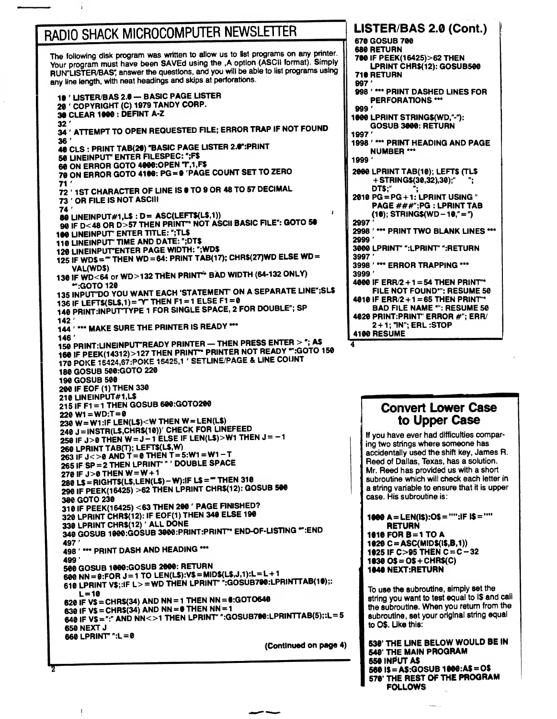# RADIO SHACK MICROCOMPUTER NEWSLETTER

The following disk program was written to allow us to list programs on any printer. Your program must have been SAVEd using the ,A option (ASCII format). Simply RUN"LISTER/BAS" answer the questions, and you will be able to list programs using any line length, with neat headings and skips at perforations.

<sup>10</sup> ' USTER/BAS 2.0 — BASIC PAGE USTER 20 ' COPYRIGHT (C) <sup>1979</sup> TANDY CORP. 30 CLEAR 1000 : DEFINT A-Z 32 '<br>34 ' ATTEMPT TO OPEN REQUESTED FILE; ERROR TRAP IF NOT FOUND <sup>40</sup> CLS : PRINT TAB{20) "BASIC PAGE USTER 2.0":PRINT 50 LINEINPUT" ENTER FILESPEC: ";F\$ 60 ON ERROR GOTO 4000:OPEN T,1 ,F\$ 70 ON ERROR GOTO 4100: PG = 0 'PAGE COUNT SET TO ZERO<br>71 ' 72 ' 1ST CHARACTER OF LINE IS @ TO 9 OR 48 TO 57 DECIMAL 73 ' OR FILE IS NOT ASCIII<br>74 ' .<br>80 LINEINPUT#1,L\$ : D= ASC(LEFT\$(L\$,1))<br>90 IF D<48 OR D>57 THEN PRINT\*\* NOT ASCII BASIC FILE": GOTO 50 100 LINEINPUT" ENTER TITLE: ";TL\$ 110 LINEINPUT" TIME AND DATE: ";DT\$ <sup>120</sup> LINEINPUTENTER PAGE WIDTH: ";WD\$ <sup>125</sup> IF WD\$="" THEN WD <sup>=</sup> 64: PRINT TAB(17); CHR\$(27)WD ELSE WD<sup>=</sup> **VAL(WDS)** 130 IF WD<64 or WD>132 THEN PRINT\*\* BAD WIDTH (64-132 ONLY)<br>":GOTO 120 •"•GOTO 120 <sup>135</sup> INPUTDO YOU WANT EACH 'STATEMENT ON A SEPARATE UNE";SL\$ 136 IF LEFT\$(SL\$,1) = "Y" THEN F1 = 1 ELSE F1 =  $0$ <sup>140</sup> PRINT:INPUTTYPE <sup>1</sup> FOR SINGLE SPACE, <sup>2</sup> FOR DOUBLE"; SP 142' 144 ' \*\*\* MAKE SURE THE PRINTER IS READY \*\*\* <4g ' <sup>150</sup> PRINT:LINEINPUTREADY PRINTER - THEN PRESS ENTER <sup>&</sup>gt; VA\$ <sup>160</sup> IF PEEK(14312)>127 THEN PRINT\* PRINTER NOT READY \*":GOTO <sup>150</sup> <sup>178</sup> POKE 1S424,67:POKE 1S425.1 ' SETLINE/PAGE & LINE COUNT 180 GOSUB 500:GOTO 220 190 GOSUB 500 200 IF EOF (1) THEN 330 210 LINEINPUT#1,L\$ <sup>215</sup> IF F1 = <sup>1</sup> THEN GOSUB 600:GOTO200  $220$  W1 = WD:T = 0 <sup>230</sup> W<sup>=</sup> W1 :IF LEN(L\$)<W THEN W<sup>=</sup> LEN(L\$) <sup>240</sup> <sup>J</sup> = INSTR(L\$,CHR\$(10))' CHECK FOR UNEFEED 250 IF J>0 THEN  $W = J - 1$  ELSE IF LEN(L\$)>W1 THEN  $J = -1$ 260 LPRINT TAB(T); LEFT\$(L\$,W) 263 IF J < > 0 AND T = 0 THEN T = 5:W1 = W1 - T <sup>265</sup> IF SP = <sup>2</sup> THEN LPRINT " 'DOUBLE SPACE 270 IF J>0 THEN  $W = W + 1$ <sup>280</sup> L\$ <sup>=</sup> RIGHT\$(L\$,LEN(L\$)-W):IF L\$=-THEN <sup>310</sup> <sup>290</sup> IF PEEK(16425) >62 THEN LPRINT CHR\$(12): GOSUB <sup>500</sup> 300 GOTO 230 <sup>310</sup> IF PEEK(16425) <63 THEN <sup>200</sup> ' PAGE FINISHED? <sup>320</sup> LPRINT CHR\$(12): IF EOF(1) THEN <sup>340</sup> ELSE <sup>190</sup> 330 LPRINT CHR\$(12) ′ ALL DONE<br>340 GOSUB 1000:GOSUB 3000:PRINT:PRINT"\* END-OF-LISTING \*\*:END<br>497 / ALL D 497' <sup>498</sup> ' \*\*\* PRINT DASH AND HEADING \*\*\* 499' <sup>500</sup> GOSUB 1000:GOSUB 2000: RETURN <sup>600</sup> NN = 0:FOR <sup>J</sup> = <sup>1</sup> TO LEN(L\$):V\$ = MID\$(L\$,J,1):L=L+1 <sup>610</sup> LPRINT V\$;:IF L> =WD THEN LPRINT ":GOSUB700:LPRINTTAB(10);: L=10 <sup>620</sup> IF V\$ = CHR\$(34) AND NN = <sup>1</sup> THEN NN = 0:GOTO640 630 IF V\$ = CHR\$(34) AND NN = 0 THEN NN = 1<br>630 IF V\$ = CHR\$(34) AND NN = 0 THEN INDIATE ", COOLIDZAA" RENTTAR(5) "1 = 5 <sup>640</sup> IF V\$=":" AND NN<>1 THEN LPRINT ":GOSUB700:LPRINTTAB(5);:L=5 650 NEXT J 660 LPRINT ":L = (Continued on page 4)

 $\mathbf{I}$ 

LISTER/BAS 2.0 (Cont.) 670 GOSUB 700 680 RETURN 700 IF PEEK(16425)>62 THEN LPRINT CHR\$(12): GOSUB500 710 RETURN 997' 998 ' \*\*\* PRINT DASHED LINES FOR PERFORATIONS \*\*\* 999' 1000 LPRINT STRING\$(WD,"-"): GOSUB 3000: RETURN 1997' 1998 ' \*\*\* PRINT HEADING AND PAGE NUMBER \*\*\* 1999' 2000 LPRINT TAB(10); LEFT\$ (TL\$  $+$  STRING\$(30,32),30);" DT\$; <sup>2010</sup> PG <sup>=</sup> PG <sup>+</sup> <sup>1</sup> :LPRINT USING " PAGE ###";PG : LPRINT TAB (10); STRING\$(WD-10,"=") 2997' <sup>2998</sup> ' \*\*\* PRINT TWO BLANK LINES \*\* 2999' 3000 LPRINT ":LPRINT ":RETURN 3997' 3998 ' \*\*\* ERROR TRAPPING \*\*\* 3999' 4000 IF ERR/2 + <sup>1</sup> = 54 THEN PRINT\* FILE NOT FOUND\*": RESUME 50<br>4010 IF ERR/2+1=65 THEN PRINT"\* BAD FILE NAME \*": RESUME 50 4020 PRINT: PRINT" ERROR #"; ERR/ 2+1; "IN"; ERL:STOP

#### Convert Lower Case to Upper Case

4100 RESUME

If you have ever had difficulties comparing two strings where someone has accidentally used the shift key, James R. Reed of Dallas, Texas, has a solution. Mr. Reed has provided us with a short subroutine which will check each letter in a string variable to ensure that it is upper case. His subroutine is:

```
1000 A= LEN(l$):0$ = "":IF 1$ = "" RETURN
1010 FOR B=1 TO A
1020C=ASC(MID$(I$,B,1))
1025 IF C>95 THEN C = C - 321030 O$ = O$ + CHR$(C)
1040 NEXT:RETURN
```
To use the subroutine, simply set the string you want to test equal to IS and call the subroutine. When you return from the subroutine, set your original string equal to 0\$. Like this:

530\* THE UNE BELOW WOULD BE IN 540' THE MAIN PROGRAM 550 INPUT AS 560 l\$=A\$:GOSUB 1000:A\$=O\$ 570' THE REST OF THE PROGRAM FOLLOWS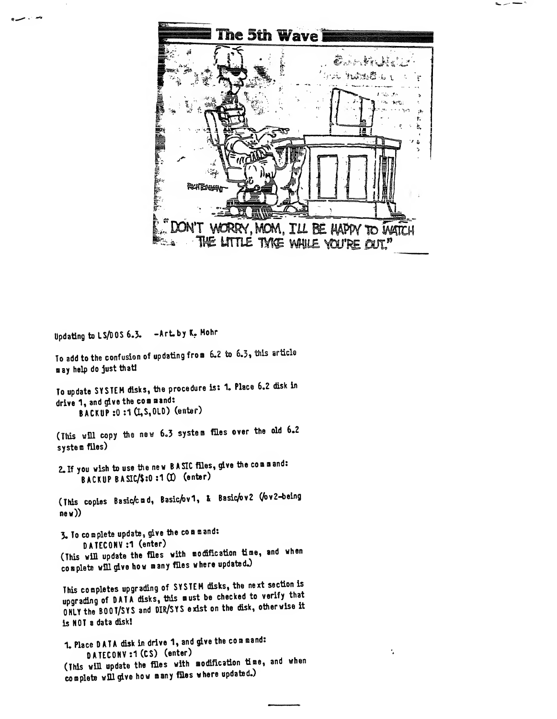

ł,

Updating to LS/DOS 6.5. -Art.byL.Hohr

≫دان م

To add to the confusion of updating froa 6.2 to 6.3, this article may help do just that!

To update SYSTEM disks, the procedure is: 1. Place 6.2 disk in drive 1, and give the command: BACKUP :0:1 (I, S, OLD) (enter)

(This will copy the new 6.3 system files over the old 6.2 systea files)

2. If you wish to use the ne <sup>w</sup> <sup>B</sup> <sup>A</sup> SIC files, give the co <sup>a</sup> <sup>a</sup> and: BACKUP BASIC/\$:0:1 (I) (enter)

(This copies Basic/cmd, Basic/ov1, & Basic/ov2 (/ov2-being new))

3. To complete update, give the command: DATECONY:1 (enter) (This will update the files with modification time, and when complete will give how many files where updated.)

This completes upgrading of SYSTEM disks, the next section is upgrading of DATA disks, this must be checked to verify that ONLY the BOOT/SYS and OIR/SYS exist on the disk, otherwise it is NOT a data disk!

1. Place <sup>D</sup> ATA disk in drive 1, and give the coa aand: DATEC0NV:1(CS) (enter) (This will update the files with aodification tlae, and when coaplete will give how many files where updated.)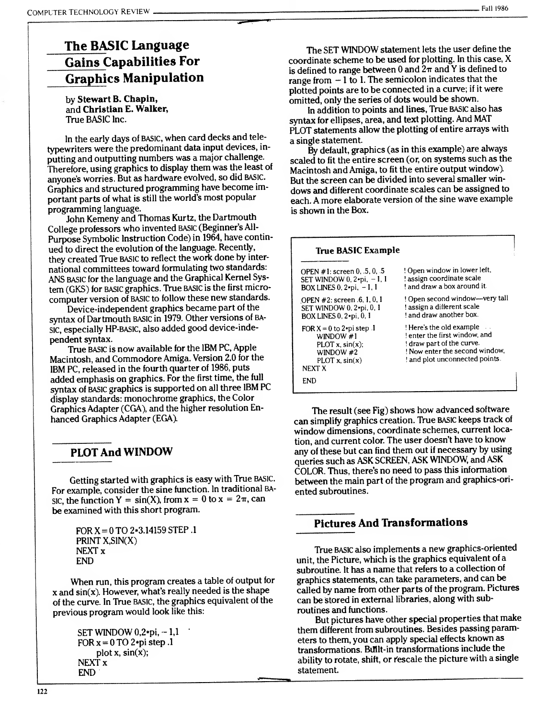### The BASIC Language Gains Capabilities For Graphics Manipulation

by Stewart B. Chapin, and Christian E. Walker, True BASIC Inc.

In the early days of BASIC, when card decks and tele typewriters were the predominant data input devices, in putting and outputting numbers was a major challenge. Therefore, using graphics to display them was the least of anyone's worries. But as hardware evolved, so did BASIC. Graphics and structured programming have become important parts of what is still the world's most popular programming language.

John Kemeny and Thomas Kurtz, the Dartmouth College professors who invented BASIC (Beginner's All- Purpose Symbolic Instruction Code) in 1964, have continued to direct the evolution of the language. Recently, they created True BASIC to reflect the work done by international committees toward formulating two standards: ANS BASIC for the language and the Graphical Kernel System (GKS) for BASIC graphics. True BASIC is the first microcomputer version of BASIC to follow these new standards.

Device-independent graphics became part of the syntax of Dartmouth BASIC in 1979. Other versions of BA-SIC, especially HP-BASIC, also added good device-independent syntax.

True BASIC is now available for the IBM PC, Apple Macintosh, and Commodore Amiga. Version 2.0 for the IBM PC, released in the fourth quarter of 1986, puts added emphasis on graphics. For the first time, the full syntax of BASIC graphics is supported on all three IBM PC display standards: monochrome graphics, the Color Graphics Adapter (CGA), and the higher resolution En hanced Graphics Adapter (EGA).

### PLOT And WINDOW

Getting started with graphics is easy with True BASIC. For example, consider the sine function. In traditional BA-SIC, the function  $Y = sin(X)$ , from  $x = 0$  to  $x = 2\pi$ , can be examined with this short program.

```
FOR X = 0 TO 2*3.14159 STEP .1
PRINT X,SIN(X)
NEXTx
END
```
When run, this program creates a table of output for  $x$  and  $sin(x)$ . However, what's really needed is the shape of the curve. In True BASIC, the graphics equivalent of the previous program would look like this:

```
SET WINDOW 0,2*pi, -1,1FOR x = 0 TO 2*pi step .1
    plot x, sin(x);
NEXTx
END
```
The SET WINDOW statement lets the user define the coordinate scheme to be used for plotting. In this case, X is defined to range between 0 and  $2\pi$  and Y is defined to range from  $-1$  to 1. The semicolon indicates that the plotted points are to be connected in a curve; if it were omitted, only the series of dots would be shown.

In addition to points and lines, True basic also has syntax for ellipses, area, and text plotting. And MAT PLOT statements allow the plotting of entire arrays with a single statement.

By default, graphics (as in this example) are always scaled to fit the entire screen (or, on systems such as the Macintosh and Amiga, to fit the entire output window). But the screen can be divided into several smaller windows and different coordinate scales can be assigned to each. A more elaborate version of the sine wave example is shown in the Box.

|                                                                                                                 | True BASIC Example                                                                                                                                         |  |
|-----------------------------------------------------------------------------------------------------------------|------------------------------------------------------------------------------------------------------------------------------------------------------------|--|
| OPEN $#1$ : screen 0, .5, 0, .5<br>SET WINDOW $0, 2 \cdot pi, -1, 1$<br>BOX LINES $0, 2$ pi, $-1, 1$            | ! Open window in lower left,<br>sassign coordinate scale<br>! and draw a box around it.                                                                    |  |
| OPEN #2: screen .6, 1, 0, 1<br>SET WINDOW 0, 2*pi, 0, 1<br>BOX LINES 0, 2*pi, 0, 1                              | ! Open second window—very tall<br>! assign a different scale<br>! and draw another box.                                                                    |  |
| FOR $X = 0$ to 2 pi step 1<br>WINDOW#I<br>PLOT $x$ , $sin(x)$ ;<br>WINDOW $#2$<br>PLOT $x$ , $sin(x)$<br>NEXT X | ! Here's the old example<br>! enter the first window, and<br>! draw part of the curve.<br>! Now enter the second window,<br>! and plot unconnected points. |  |
| END                                                                                                             |                                                                                                                                                            |  |

The result (see Fig) shows how advanced software can simplify graphics creation. True BASIC keeps track of window dimensions, coordinate schemes, current location, and current color. The user doesn't have to know any of these but can find them out if necessary by using queries such as ASK SCREEN, ASK WINDOW, and ASK COLOR. Thus, there's no need to pass this information between the main part of the program and graphics-oriented subroutines.

#### Pictures And Transformations

True BASIC also implements a new graphics-oriented unit, the Picture, which is the graphics equivalent of a subroutine. It has a name that refers to a collection of graphics statements, can take parameters, and can be called by name from other parts of the program. Pictures can be stored in external libraries, along with subroutines and functions.

But pictures have other special properties that make them different from subroutines. Besides passing parameters to them, you can apply special effects known as transformations. Built-in transformations include the ability to rotate, shift, or rescale the picture with a single statement.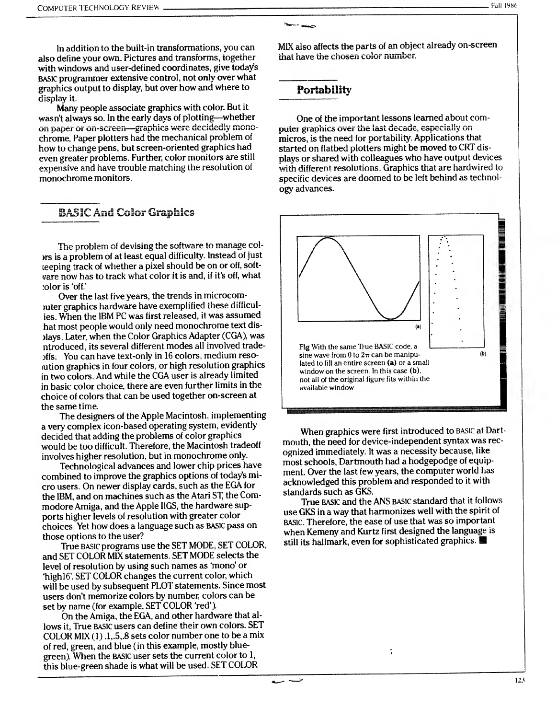In addition to the built-in transformations, you can also define your own. Pictures and transforms, together with windows and user-defined coordinates, give today's BASiC programmer extensive control, not only over what graphics output to display, but over how and where to display it.

Many people associate graphics with color. But it wasn't always so. In the early days of plotting—whether on paper or on-screen—graphics were decidedly monochrome, Paper plotters had the mechanical problem of how to change pens, but screen-oriented graphics had even greater problems. Further, color monitors are still expensive and have trouble matching the resolution of monochrome monitors.

#### BASIC And Color Graphics

The problem of devising the software to manage col- >rs is a problem of at least equal difficulty. Instead of just ceeping track of whether a pixel should be on or off, soft ware now has to track what color it is and, if it's off, what :olor is 'off.'

Over the last five years, the trends in microcomjuter graphics hardware have exemplified these difficulies. When the IBM PC was first released, it was assumed hat most people would only need monochrome text dis plays. Later, when the Color Graphics Adapter (CGA), was ntroduced, its several different modes all involved tradeoffs: You can have text-only in <sup>16</sup> colors, medium resolution graphics in four colors, or high resolution graphics in two colors. And while the CGA user is already limited in basic color choice, there are even further limits in the choice of colors that can be used together on-screen at the same time.

The designers of the Apple Macintosh, implementing a very complex icon-based operating system, evidently decided that adding the problems of color graphics would be too difficult. Therefore, the Macintosh tradeoff involves higher resolution, but in monochrome only.

Technological advances and lower chip prices have combined to improve the graphics options of today's mi cro users. On newer display cards, such as the EGA for the IBM, and on machines such as the Atari ST, the Commodore Amiga, and the Apple IIGS, the hardware supports higher levels of resolution with greater color choices. Yet how does a language such as BASIC pass on those options to the user?

True BASIC programs use the SET MODE, SET COLOR, and SET COLOR MIX statements. SET MODE selects the level of resolution by using such names as 'mono' or 'highl6'. SET COLOR changes the current color, which will be used by subsequent PLOT statements. Since most users don't memorize colors by number, colors can be set by name (for example, SET COLOR 'red').

On the Amiga, the EGA, and other hardware that al lows it, True BASIC users can define their own colors. SET COLOR MIX (1) .1,.5,.8 sets color number one to be <sup>a</sup> mix of red, green, and blue (in this example, mostly bluegreen). When the BASIC user sets the current color to 1, this blue-green shade is what will be used. SET COLOR

MIX also affects the parts of an object already on-screen that have the chosen color number.

#### **Portability**

One of the important lessons learned about computer graphics over the last decade, especially on micros, is the need for portability. Applications that started on flatbed plotters might be moved to CRT dis plays or shared with colleagues who have output devices with different resolutions. Graphics that are hardwired to specific devices are doomed to be left behind as technology advances.



When graphics were first introduced to BASIC at Dart mouth, the need for device-independent syntax was rec ognized immediately. It was a necessity because, like most schools, Dartmouth had a hodgepodge of equipment. Over the last few years, the computer world has acknowledged this problem and responded to it with standards such as GKS.

True BASIC and the ANS BASIC standard that it follows use GKS in a way that harmonizes well with the spirit of BASIC. Therefore, the ease of use that was so important when Kemeny and Kurtz first designed the language is still its hallmark, even for sophisticated graphics.

 $\ddot{\cdot}$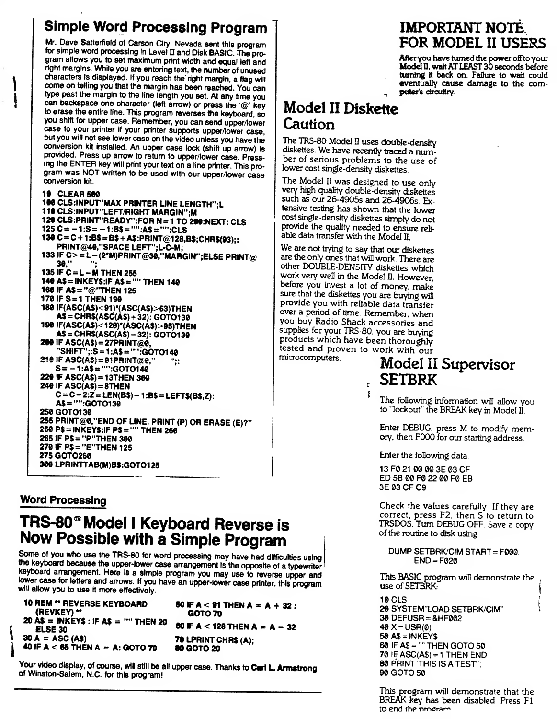## Simple Word Processing Program

Mr. Dave Satterfield of Carson City, Nevada sent this program for simple word processing in Level II and Disk BASIC. The program allows you to set maximum print width and equal left and right margins. While you are entering text, the number of unused<br>characters is displayed. If you reach the right margin, a flag will come on telling you that the margin has been reached. You can type past the margin to the line length you set. At any time you can backspace one character (left arrow) or press the '@' key<br>to erase the entire line. This program reverses the keyboard, so you shift for upper case. Remember, you can send upper/lower<br>case to your printer if your printer supports upper/lower case,<br>but you will not see lower case on the video unless you have the conversion kit installed. An upper case lock (shift up arrow) is provided. Press up arrow to return to upper/lower case. Pressing the ENTER key will print your text on a line printer. This program was NOT written to be used with our upper/lower case conversion kit.

11 CLEAR 500

100 CLS: INPUT"MAX PRINTER LINE LENGTH";L 110 CLS:INPUT"LEFT/RIGHT MARGIN" ;M <sup>120</sup> CLS:PRINT"READY":FOR N = <sup>1</sup> TO 200:NEXT: CLS 125 C=  $-1:$ S=  $-1:$ B\$ = "":A\$ = "":CLS 138 C = C + <sup>1</sup> :BS = BS + A\$:PRINT@128,B\$;CHR\$(93);: PRINT@40,"SPACE LEFT";L-C-M; 133 IF C>=L-(2\*M)PRINT@30,"MARGIN";ELSE PRINT@<br>30," "; 135 IF C = L - M THEN 255 140 A\$ = INKEY\$:IF A\$ = "" THEN 140 160 IF  $As = "@"$ THEN 125 170 IF S = <sup>1</sup> THEN 190 180 IF(ASC(A\$)<91)\*(ASC(A\$)>63)THEN  $AS = CHRS(ASC(AS) + 32)$ : GOTO130 190IF(ASC(A\$)<12B)"(ASC(A\$)>95)THEN  $AS = CHRS(ASC(AS) - 32)$ : GOTO130 200 IF  $ASC(AS) = 27$ PRINT@0, "SHIFT";:S = 1:A\$ = "":GOTO140"<br>218 IF ASC(A\$) = 91PRINT@6," ";: <sup>218</sup> IF ASC(A\$)=91PRINT@e," ";: S=-1:A\$ <sup>=</sup> "":GOTO140 220 IF ASC(A\$) = 13THEN 300 240 IF  $ASC(AS) = 8$ THEN  $C = C - 2:Z = LEN(B$) - 1:BS = LEFT$(B$, Z):$ A\$ = "":GOTO130 250 GOT0130 255 PRINT@8,"END OF UNE. PRINT (P) OR ERASE (E)7" 260 P\$ = INKEY\$:IF P\$ = "" THEN 260 265 IF P\$ = "P"THEN 300 270 IF P\$ = "E"THEN 125 275 GOTO260 300 LPRINTTAB(M)B\$:GOT0125

### Word Processing

# TRS-80" Model <sup>I</sup> Keyboard Reverse is Now Possible with a Simple Program<br>Some of you who use the TRS-80 for word processing may have had difficulties using

the keyboard because the upper-lower case arrangement is the opposite of a typewriter<br>keyboard arrangement. Here is a simple program you may use to reverse upper and lower case for letters and arrows. If you have an upper-lower case printer, this program will allow you to use it more effectively.

| <b>10 REM ** REVERSE KEYBOARD</b><br>(REVKEY) **                | Б       |
|-----------------------------------------------------------------|---------|
| $20 \text{ AS} = \text{INKEYS}$ : IF AS = "" THEN 20<br>ELSE 30 | Ò       |
| $30 A = ASC (A$)$<br>40 IF A $<$ 65 THEN A = A: GOTO 70         | 71<br>a |

 $50$  if A  $<$  91 THEN A = A + 32 :<br>GOTO 70

60 IF A  $<$  128 THEN A = A  $-$  32

70 LPRINT CHR\$(A); 80 GOTO 20

Your video display, of course, will still be all upper case. Thanks to Carl L. Armstrong of Winston-Salem, N.C. for this program!

### **IMPORTANT NOTE** FOR MODEL II USERS

After you have turned the power off to your Model II, wait AT LEAST 30 seconds before turning it back on. Failure to wait could eventually cause damage to the com puter's circuitry.

## Model II Diskette **Caution**

The TRS-80 Model II uses double-density diskettes. We have recently traced a number of serious problems to the use of lower cost single-density diskettes.

The Model II was designed to use only very high quality double-density diskettes such as our 26-4905s and 26-4906s. Extensive testing has shown that the lower cost single-density diskettes amply do not provide the quality needed to ensure reli able data transfer with the Model D.

We are not trying to say that our diskettes are the only ones that will work. There are other DOUBLE-DENSITY diskettes which work very well in the Model II. However, before you invest a lot of money, make<br>sure that the diskettes you are buying will provide you with reliable data transfer<br>over a period of time. Remember, when you buy Radio Shack accessories and supplies for your TRS-80, you are buying<br>products which have been thoroughly

?

# tested and proven to work with our microcomputers.<br>"Model II Supervisor <sup>r</sup> SETBRK

The following information will allow you to "lockout' the BREAK key in Model II.

Enter DEBUG, press M to modify memory, then F000 for our starting address.

Enter the following data:

13F0 <sup>21</sup> 0O00 3E03CF ED 5B 00 F0 22 00 F0 EB 3E 03 CF C9

Check the values carefully. If they are correct, press F2, then S to return to TRSDOS. Turn DEBUG OFF. Save <sup>a</sup> copy of the routine to disk using:

DUMP SETBRK/CIM START = F000,  $END = F020$ 

This BASIC program will demonstrate the use of SETBRK

10 CLS 20 SYSTEM"LOAD SETBRK/CIM" 30DEFUSR = &HF002 40  $X = USR(0)$ 50 A\$ = INKEYS 60 IF A\$ = "" THEN GOTO 50  $70$  IF ASC(A\$) = 1 THEN END 80 PRINTTHIS IS A TEST"; 90 GOTO 50

This program will demonstrate that the BREAK key has been disabled Press Fl to end the nrnoram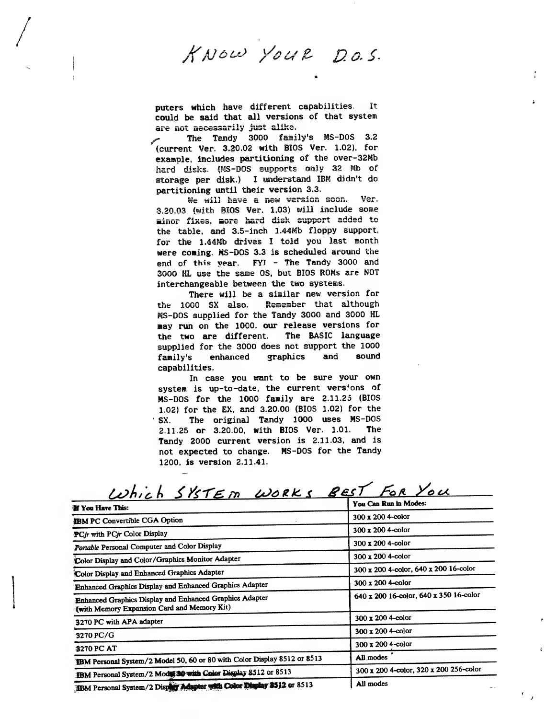KNOW YOUR D.O.S.

puters which have different capabilities. It could be said that all versions of that system are not necessarily just alike.

The Tandy 3000 family's MS-DOS 3.2 (current Ver. 3.20.02 with BIOS Ver. 1.02), for example, includes partitioning of the over-32Mb hard disks. (MS-DOS supports only 32 Mb of storage per disk.) I understand IBM didn't do partitioning until their version 3.3.

We will have a new version soon. Ver. 3.20.03 (with BIOS Ver. 1.03) will include some minor fixes, more hard disk support added to the table, and 3.5-inch 1.44Mb floppy support, for the 1.44Mb drives I told you last month were coming. MS-DOS 3.3 is scheduled around the end of this year. FYJ - The Tandy 3000 and 3000 HL use the same OS, but BIOS ROMs are NOT interchangeable between the two systems.

There will be a similar new version for Remember that although the 1000 SX also. MS-DOS supplied for the Tandy 3000 and 3000 HL may run on the 1000, our release versions for the two are different. The BASIC language supplied for the 3000 does not support the 1000 and sound family's enhanced graphics capabilities.

In case you want to be sure your own system is up-to-date, the current versions of MS-DOS for the 1000 family are 2.11.25 (BIOS 1.02) for the EX, and 3.20.00 (BIOS 1.02) for the The original Tandy 1000 uses MS-DOS SX. 2.11.25 or 3.20.00, with BIOS Ver. 1.01. The Tandy 2000 current version is 2.11.03, and is not expected to change. MS-DOS for the Tandy 1200, is version 2.11.41.

| Which SISTEM WORKS<br><b>W</b> You Have This:                                                          | You Can Run in Modes:                  |
|--------------------------------------------------------------------------------------------------------|----------------------------------------|
| <b>IBM PC Convertible CGA Option</b>                                                                   | 300 x 200 4-color                      |
| PCjr with PCjr Color Display                                                                           | 300 x 200 4-color                      |
| Portable Personal Computer and Color Display                                                           | 300 x 200 4-color                      |
| Color Display and Color/Graphics Monitor Adapter                                                       | $300 \times 200$ 4-color               |
| Color Display and Enhanced Graphics Adapter                                                            | 300 x 200 4-color, 640 x 200 16-color  |
| Enhanced Graphics Display and Enhanced Graphics Adapter                                                | $300 \times 200$ 4-color               |
| Enhanced Graphics Display and Enhanced Graphics Adapter<br>(with Memory Expansion Card and Memory Kit) | 640 x 200 16-color, 640 x 350 16-color |
| 3270 PC with APA adapter                                                                               | $300 \times 200$ 4-color               |
| 3270 PC/G                                                                                              | $300 \times 200$ 4-color               |
| 3270 PC AT                                                                                             | $300 \times 200$ 4-color               |
| IBM Personal System/2 Model 50, 60 or 80 with Color Display 8512 or 8513                               | All modes                              |
| IBM Personal System/2 Modul 30 with Golor Display 8512 or 8513                                         | 300 x 200 4-color, 320 x 200 256-color |
| TRM Personal System/2 District Adapter with Color Display \$512 or 8513                                | All modes                              |

which extern whole port the Van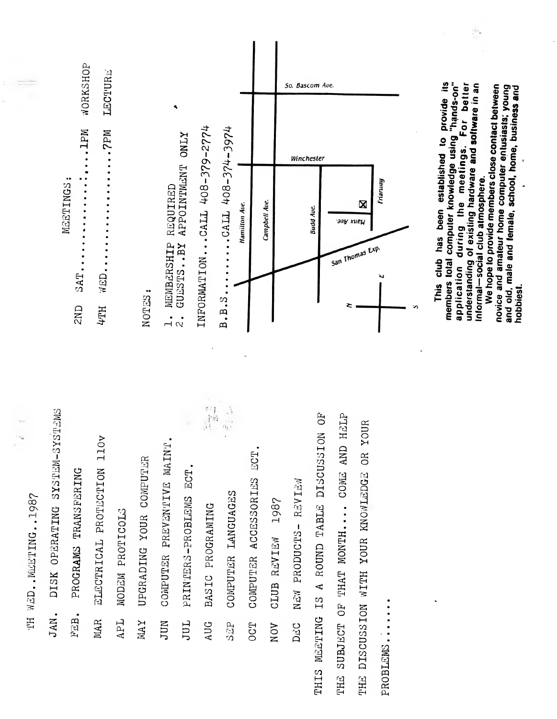

THE

Ģ.

We hope to provide members close contact between novice and amateur home computer entusiasts; young and old, male and female, school, home, business and

hobbiest.